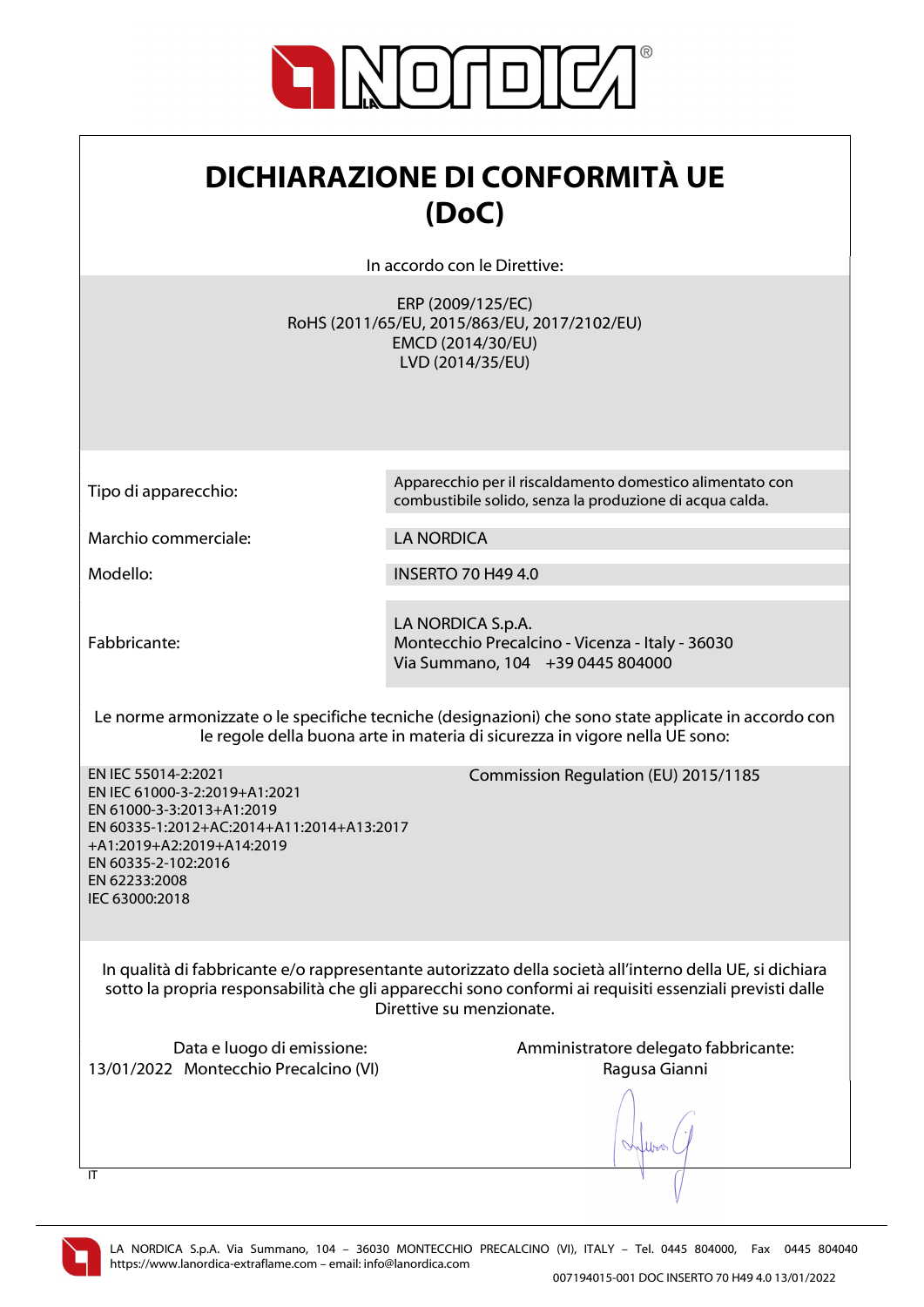

## DICHIARAZIONE DI CONFORMITÀ UE (DoC)

In accordo con le Direttive:

ERP (2009/125/EC) RoHS (2011/65/EU, 2015/863/EU, 2017/2102/EU) EMCD (2014/30/EU) LVD (2014/35/EU)

Tipo di apparecchio: Apparecchio per il riscaldamento domestico alimentato con combustibile solido, senza la produzione di acqua calda.

Marchio commerciale: LA NORDICA

Modello: INSERTO 70 H49 4.0

Fabbricante:

LA NORDICA S.p.A. Montecchio Precalcino - Vicenza - Italy - 36030 Via Summano, 104 +39 0445 804000

Le norme armonizzate o le specifiche tecniche (designazioni) che sono state applicate in accordo con le regole della buona arte in materia di sicurezza in vigore nella UE sono:

EN IEC 55014-2:2021 EN IEC 61000-3-2:2019+A1:2021 EN 61000-3-3:2013+A1:2019 EN 60335-1:2012+AC:2014+A11:2014+A13:2017 +A1:2019+A2:2019+A14:2019 EN 60335-2-102:2016 EN 62233:2008 IEC 63000:2018

Commission Regulation (EU) 2015/1185

In qualità di fabbricante e/o rappresentante autorizzato della società all'interno della UE, si dichiara sotto la propria responsabilità che gli apparecchi sono conformi ai requisiti essenziali previsti dalle Direttive su menzionate.

13/01/2022 Montecchio Precalcino (VI) Ragusa Gianni

Data e luogo di emissione: Amministratore delegato fabbricante:



 $\overline{\mathsf{I}}$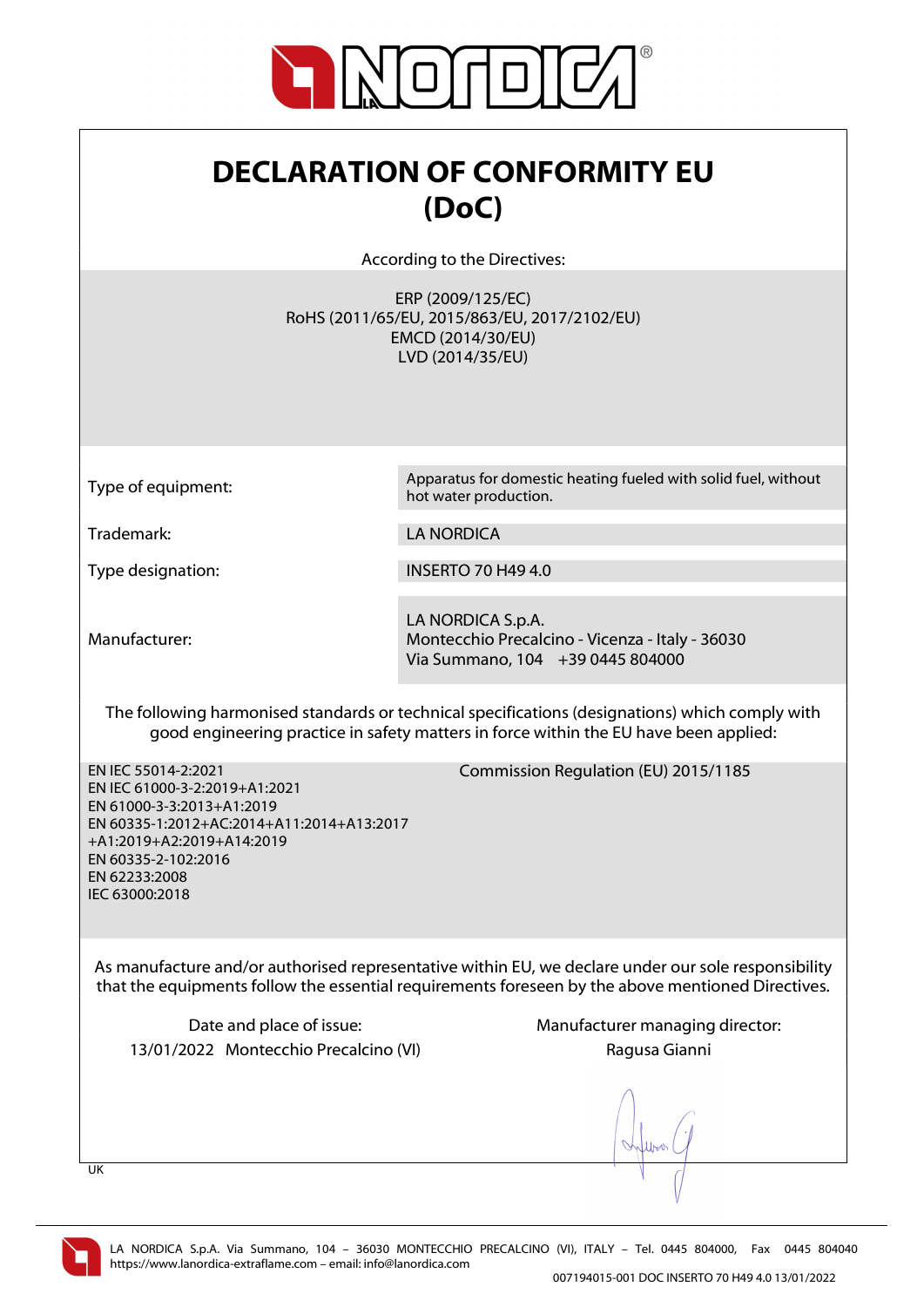

## DECLARATION OF CONFORMITY EU (DoC)

According to the Directives:

ERP (2009/125/EC) RoHS (2011/65/EU, 2015/863/EU, 2017/2102/EU) EMCD (2014/30/EU) LVD (2014/35/EU)

Type of equipment: Apparatus for domestic heating fueled with solid fuel, without hot water production.

Trademark: LA NORDICA

Type designation: INSERTO 70 H49 4.0

Manufacturer:

LA NORDICA S.p.A. Montecchio Precalcino - Vicenza - Italy - 36030 Via Summano, 104 +39 0445 804000

The following harmonised standards or technical specifications (designations) which comply with good engineering practice in safety matters in force within the EU have been applied:

EN IEC 55014-2:2021 EN IEC 61000-3-2:2019+A1:2021 EN 61000-3-3:2013+A1:2019 EN 60335-1:2012+AC:2014+A11:2014+A13:2017 +A1:2019+A2:2019+A14:2019 EN 60335-2-102:2016 EN 62233:2008 IEC 63000:2018

Commission Regulation (EU) 2015/1185

As manufacture and/or authorised representative within EU, we declare under our sole responsibility that the equipments follow the essential requirements foreseen by the above mentioned Directives.

13/01/2022 Montecchio Precalcino (VI) Ragusa Gianni

Date and place of issue: Manufacturer managing director:

UK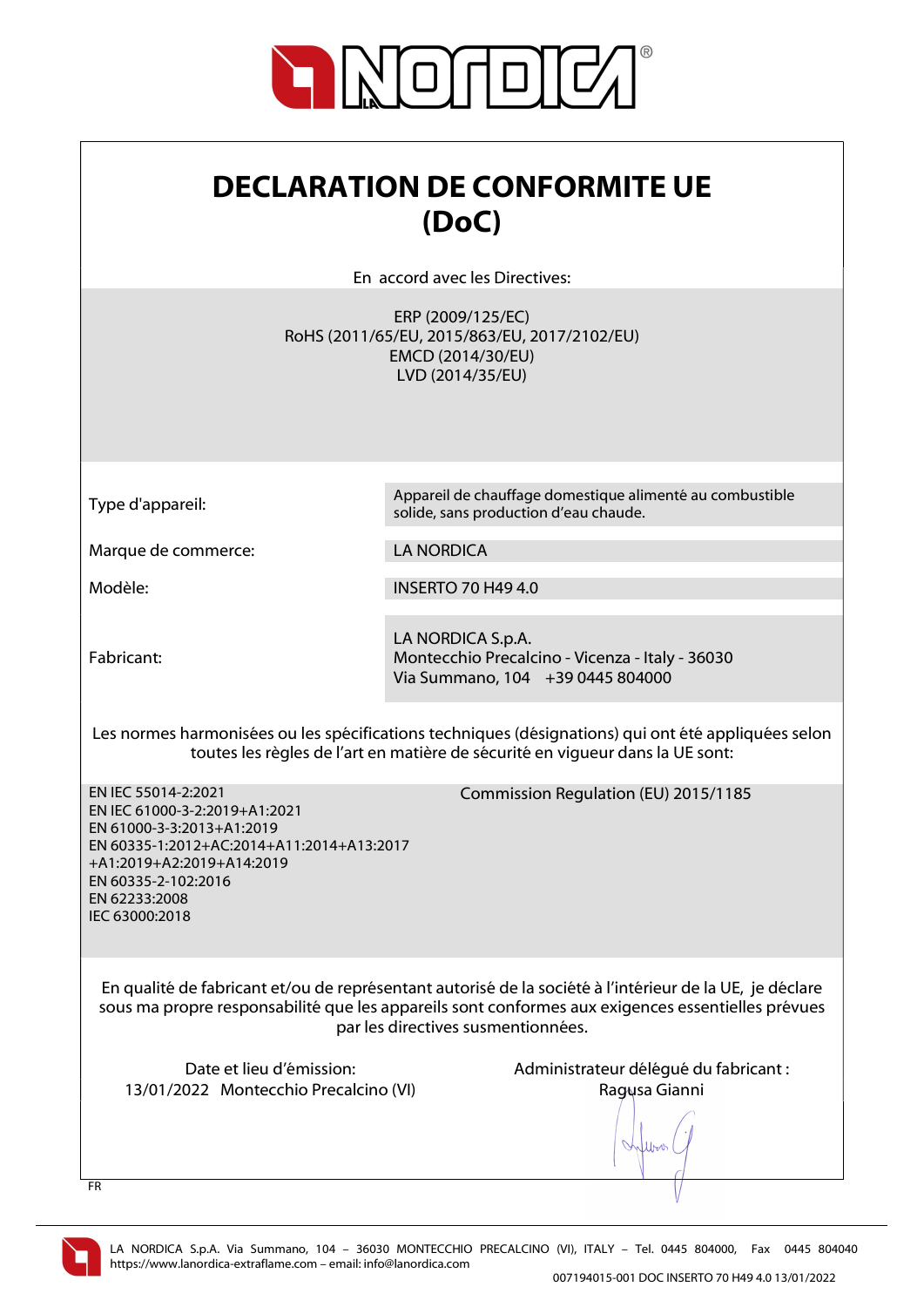

| <b>DECLARATION DE CONFORMITE UE</b> |  |
|-------------------------------------|--|
| (DoC)                               |  |

En accord avec les Directives:

ERP (2009/125/EC) RoHS (2011/65/EU, 2015/863/EU, 2017/2102/EU) EMCD (2014/30/EU) LVD (2014/35/EU)

Type d'appareil: Appareil de chauffage domestique alimenté au combustible solide, sans production d'eau chaude.

Marque de commerce: LA NORDICA

Modèle: INSERTO 70 H49 4.0

Fabricant:

LA NORDICA S.p.A. Montecchio Precalcino - Vicenza - Italy - 36030 Via Summano, 104 +39 0445 804000

Les normes harmonisées ou les spécifications techniques (désignations) qui ont été appliquées selon toutes les règles de l'art en matière de sécurité en vigueur dans la UE sont:

Commission Regulation (EU) 2015/1185

EN IEC 55014-2:2021 EN IEC 61000-3-2:2019+A1:2021 EN 61000-3-3:2013+A1:2019 EN 60335-1:2012+AC:2014+A11:2014+A13:2017 +A1:2019+A2:2019+A14:2019 EN 60335-2-102:2016 EN 62233:2008 IEC 63000:2018

En qualité de fabricant et/ou de représentant autorisé de la société à l'intérieur de la UE, je déclare sous ma propre responsabilité que les appareils sont conformes aux exigences essentielles prévues

par les directives susmentionnées.

13/01/2022 Montecchio Precalcino (VI) Ragusa Gianni

Date et lieu d'émission: Administrateur délégué du fabricant :

When

FR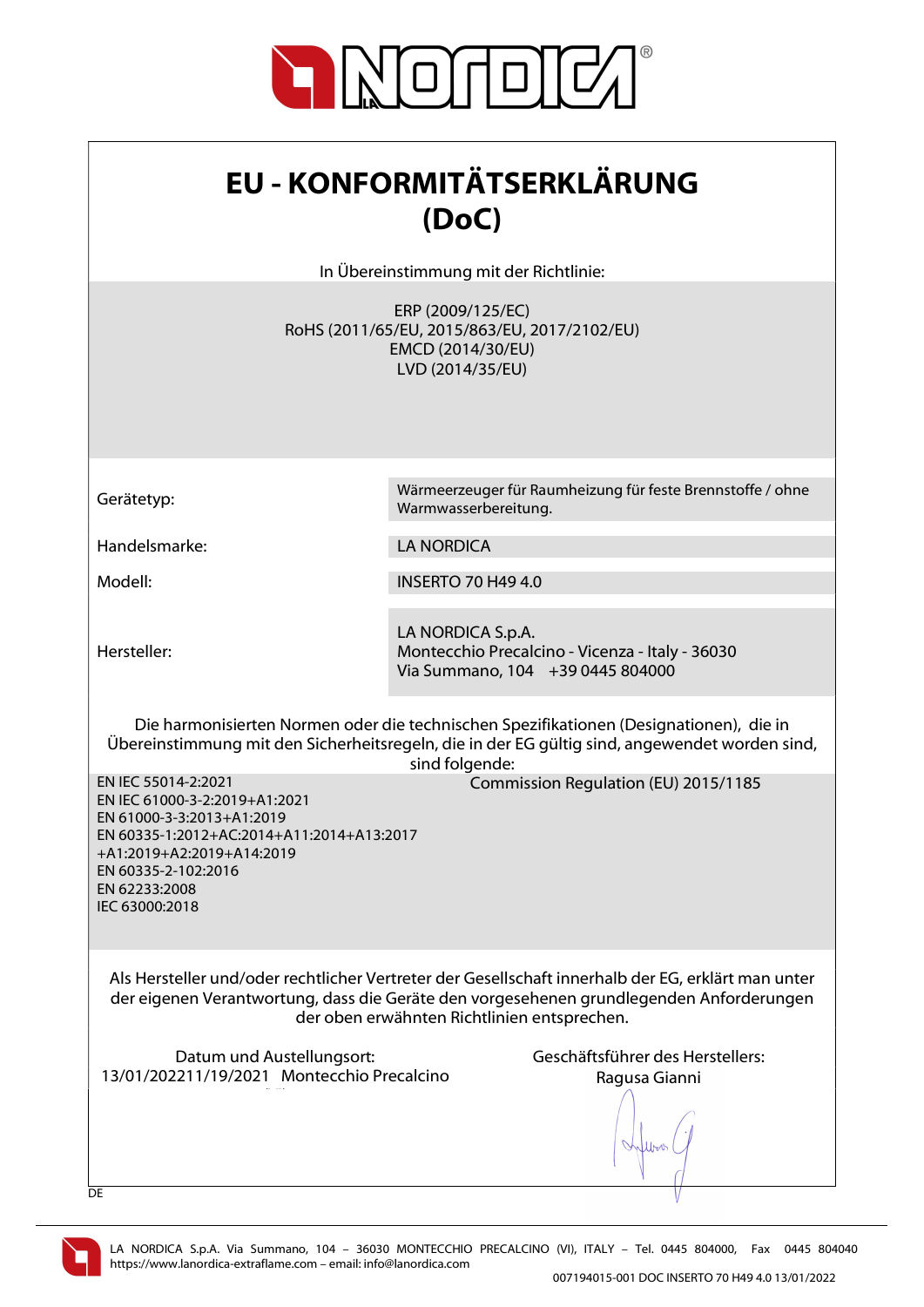

| <b>EU - KONFORMITÄTSERKLÄRUNG</b> |
|-----------------------------------|
| (DoC)                             |

In Übereinstimmung mit der Richtlinie:

ERP (2009/125/EC) RoHS (2011/65/EU, 2015/863/EU, 2017/2102/EU) EMCD (2014/30/EU) LVD (2014/35/EU)

Gerätetyp: Wärmeerzeuger für Raumheizung für feste Brennstoffe / ohne

Handelsmarke: LA NORDICA

Modell: INSERTO 70 H49 4.0

Warmwasserbereitung.

Hersteller:

EN IEC 55014-2:2021

LA NORDICA S.p.A. Montecchio Precalcino - Vicenza - Italy - 36030 Via Summano, 104 +39 0445 804000

Die harmonisierten Normen oder die technischen Spezifikationen (Designationen), die in Übereinstimmung mit den Sicherheitsregeln, die in der EG gültig sind, angewendet worden sind, sind folgende:

Commission Regulation (EU) 2015/1185

EN IEC 61000-3-2:2019+A1:2021 EN 61000-3-3:2013+A1:2019 EN 60335-1:2012+AC:2014+A11:2014+A13:2017 +A1:2019+A2:2019+A14:2019 EN 60335-2-102:2016 EN 62233:2008 IEC 63000:2018

Als Hersteller und/oder rechtlicher Vertreter der Gesellschaft innerhalb der EG, erklärt man unter der eigenen Verantwortung, dass die Geräte den vorgesehenen grundlegenden Anforderungen der oben erwähnten Richtlinien entsprechen.

Datum und Austellungsort: Geschäftsführer des Herstellers: 13/01/202211/19/2021 Montecchio Precalcino  $\mathcal{N}(\mathcal{N})$ 

Ragusa Gianni

lloo

**DE**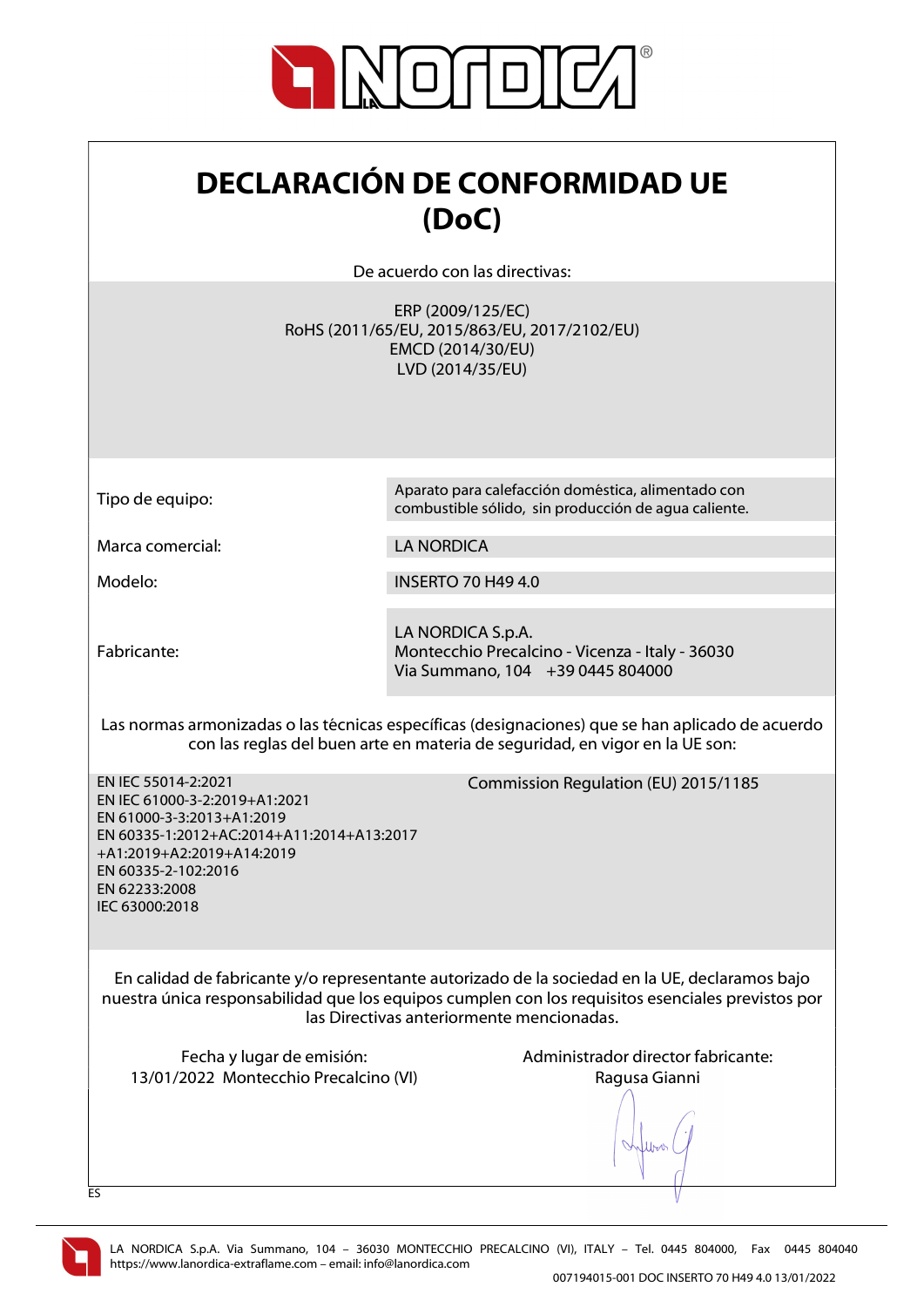

| <b>DECLARACIÓN DE CONFORMIDAD UE</b> |
|--------------------------------------|
| (DoC)                                |

De acuerdo con las directivas:

ERP (2009/125/EC) RoHS (2011/65/EU, 2015/863/EU, 2017/2102/EU) EMCD (2014/30/EU) LVD (2014/35/EU)

Tipo de equipo: Aparato para calefacción doméstica, alimentado con

Marca comercial: LA NORDICA

Modelo: INSERTO 70 H49 4.0

Fabricante:

LA NORDICA S.p.A. Montecchio Precalcino - Vicenza - Italy - 36030 Via Summano, 104 +39 0445 804000

combustible sólido, sin producción de agua caliente.

Las normas armonizadas o las técnicas específicas (designaciones) que se han aplicado de acuerdo con las reglas del buen arte en materia de seguridad, en vigor en la UE son:

EN IEC 55014-2:2021 EN IEC 61000-3-2:2019+A1:2021 EN 61000-3-3:2013+A1:2019 EN 60335-1:2012+AC:2014+A11:2014+A13:2017 +A1:2019+A2:2019+A14:2019 EN 60335-2-102:2016 EN 62233:2008 IEC 63000:2018

Commission Regulation (EU) 2015/1185

En calidad de fabricante y/o representante autorizado de la sociedad en la UE, declaramos bajo nuestra única responsabilidad que los equipos cumplen con los requisitos esenciales previstos por las Directivas anteriormente mencionadas.

13/01/2022 Montecchio Precalcino (VI) Ragusa Gianni

Fecha y lugar de emisión:  $\blacksquare$  Administrador director fabricante:

lloo



ES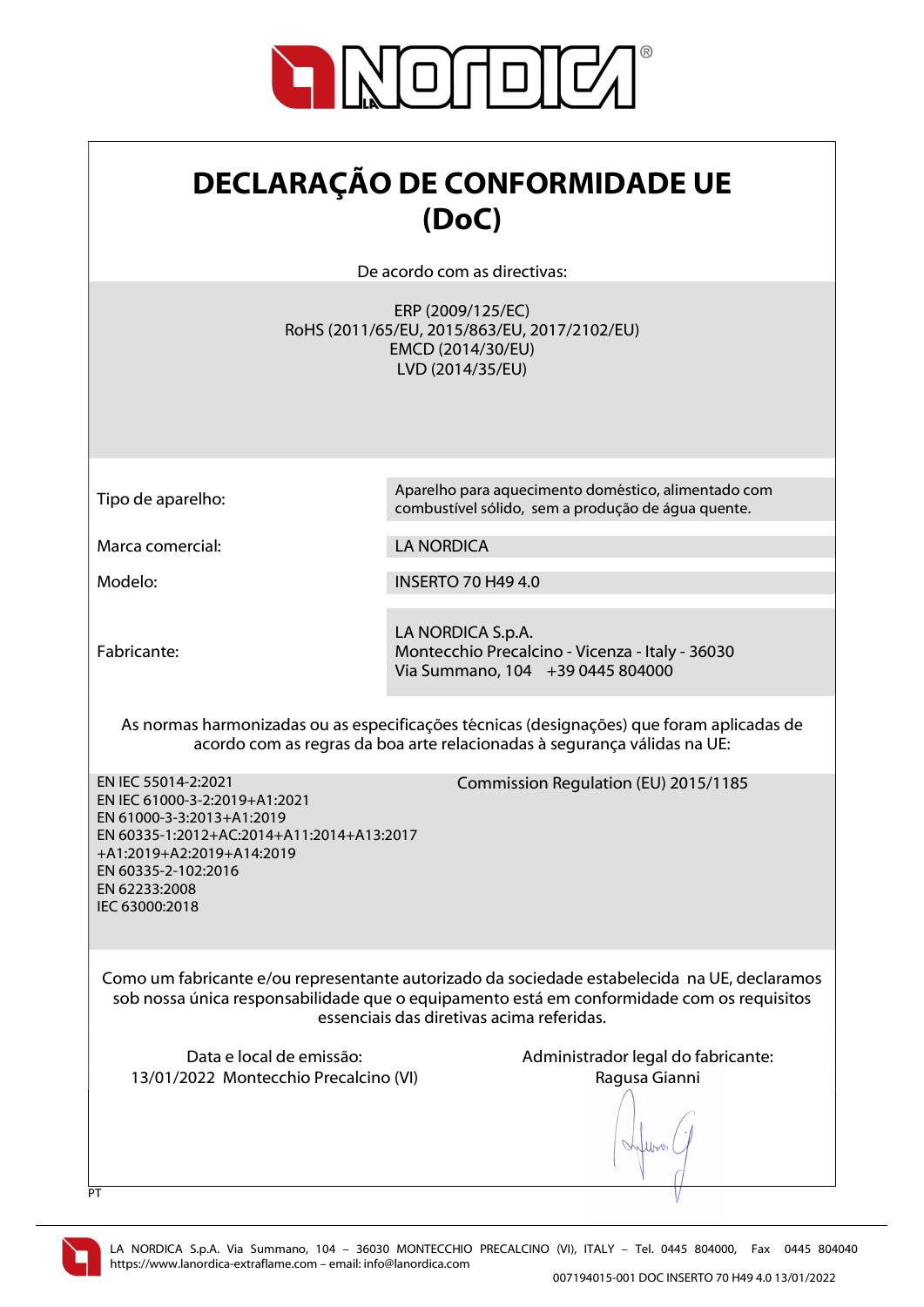

## DECLARAÇÃO DE CONFORMIDADE UE (DoC)

De acordo com as directivas:

ERP (2009/125/EC) RoHS (2011/65/EU, 2015/863/EU, 2017/2102/EU) EMCD (2014/30/EU) LVD (2014/35/EU)

Tipo de aparelho: Aparelho para aquecimento doméstico, alimentado com

Marca comercial: LA NORDICA

Modelo: INSERTO 70 H49 4.0

Fabricante:

LA NORDICA S.p.A. Montecchio Precalcino - Vicenza - Italy - 36030 Via Summano, 104 +39 0445 804000

combustível sólido, sem a produção de água quente.

As normas harmonizadas ou as especificações técnicas (designações) que foram aplicadas de acordo com as regras da boa arte relacionadas à segurança válidas na UE:

Commission Regulation (EU) 2015/1185

EN IEC 55014-2:2021 EN IEC 61000-3-2:2019+A1:2021 EN 61000-3-3:2013+A1:2019 EN 60335-1:2012+AC:2014+A11:2014+A13:2017 +A1:2019+A2:2019+A14:2019 EN 60335-2-102:2016 EN 62233:2008 IEC 63000:2018

Como um fabricante e/ou representante autorizado da sociedade estabelecida na UE, declaramos sob nossa única responsabilidade que o equipamento está em conformidade com os requisitos essenciais das diretivas acima referidas.

13/01/2022 Montecchio Precalcino (VI) Ragusa Gianni

Data e local de emissão:  $\blacksquare$  Administrador legal do fabricante:

lloo



 $\overline{P}$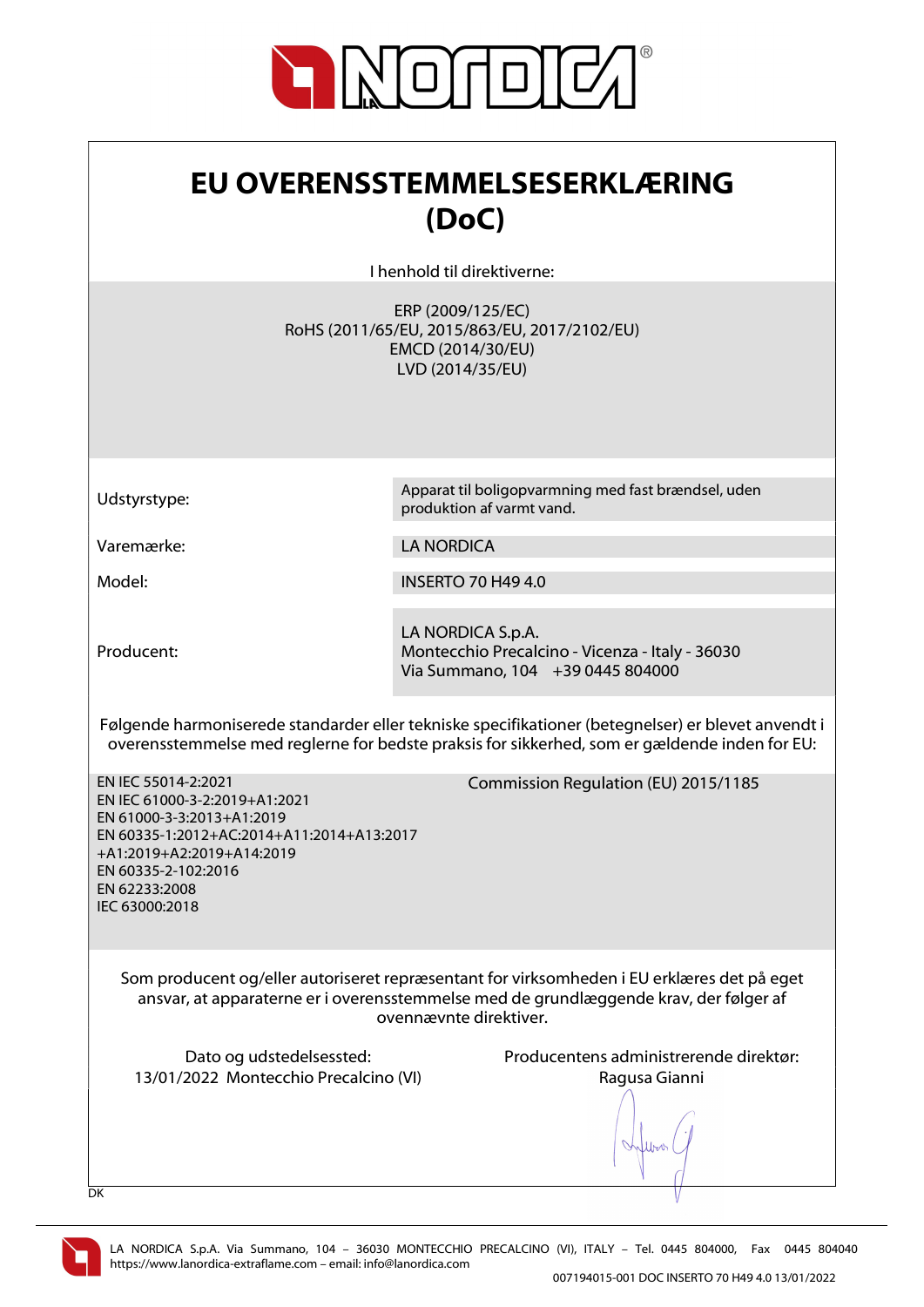

| EU OVERENSSTEMMELSESERKLÆRING |
|-------------------------------|
| (DoC)                         |

I henhold til direktiverne:

ERP (2009/125/EC) RoHS (2011/65/EU, 2015/863/EU, 2017/2102/EU) EMCD (2014/30/EU) LVD (2014/35/EU)

Udstyrstype: Apparat til boligopvarmning med fast brændsel, uden

Varemærke: LA NORDICA

Model: INSERTO 70 H49 4.0

produktion af varmt vand.

Producent:

LA NORDICA S.p.A. Montecchio Precalcino - Vicenza - Italy - 36030 Via Summano, 104 +39 0445 804000

Følgende harmoniserede standarder eller tekniske specifikationer (betegnelser) er blevet anvendt i overensstemmelse med reglerne for bedste praksis for sikkerhed, som er gældende inden for EU:

EN IEC 55014-2:2021 EN IEC 61000-3-2:2019+A1:2021 EN 61000-3-3:2013+A1:2019 EN 60335-1:2012+AC:2014+A11:2014+A13:2017 +A1:2019+A2:2019+A14:2019 EN 60335-2-102:2016 EN 62233:2008 IEC 63000:2018

Commission Regulation (EU) 2015/1185

Som producent og/eller autoriseret repræsentant for virksomheden i EU erklæres det på eget ansvar, at apparaterne er i overensstemmelse med de grundlæggende krav, der følger af ovennævnte direktiver.

13/01/2022 Montecchio Precalcino (VI) Ragusa Gianni

Dato og udstedelsessted: Producentens administrerende direktør:

lloo

DK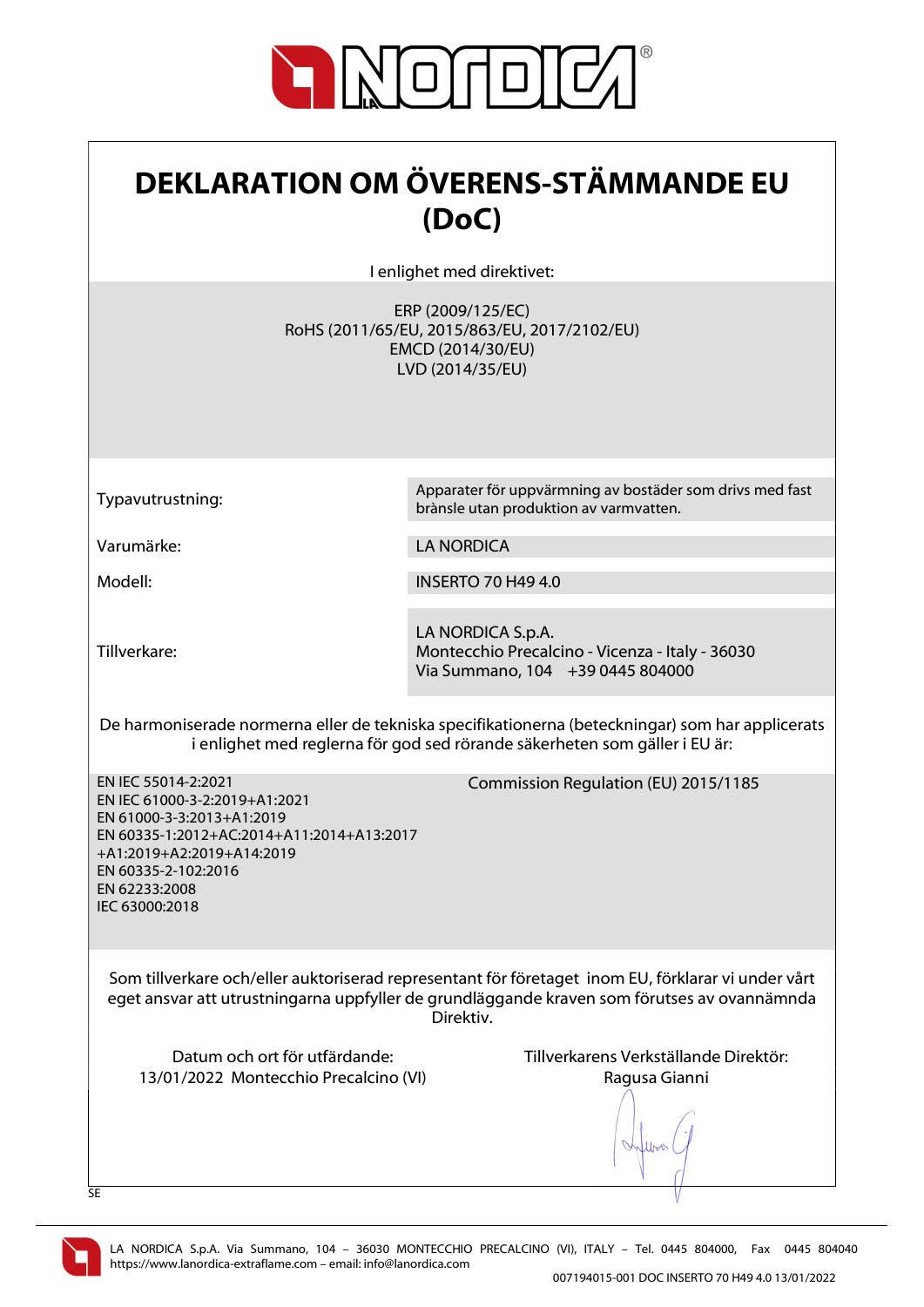

| <b>DEKLARATION OM ÖVERENS-STÄMMANDE EU</b><br>(DoC)                                                                                                                                                                   |                                                                                                            |
|-----------------------------------------------------------------------------------------------------------------------------------------------------------------------------------------------------------------------|------------------------------------------------------------------------------------------------------------|
|                                                                                                                                                                                                                       | I enlighet med direktivet:                                                                                 |
|                                                                                                                                                                                                                       | ERP (2009/125/EC)<br>RoHS (2011/65/EU, 2015/863/EU, 2017/2102/EU)<br>EMCD (2014/30/EU)<br>LVD (2014/35/EU) |
| Typavutrustning:                                                                                                                                                                                                      | Apparater för uppvärmning av bostäder som drivs med fast<br>brànsle utan produktion av varmvatten.         |
| Varumärke:                                                                                                                                                                                                            | <b>LA NORDICA</b>                                                                                          |
| Modell:                                                                                                                                                                                                               | <b>INSERTO 70 H49 4.0</b>                                                                                  |
| Tillverkare:                                                                                                                                                                                                          | LA NORDICA S.p.A.<br>Montecchio Precalcino - Vicenza - Italy - 36030<br>Via Summano, 104 +39 0445 804000   |
| De harmoniserade normerna eller de tekniska specifikationerna (beteckningar) som har applicerats<br>i enlighet med reglerna för god sed rörande säkerheten som gäller i EU är:                                        |                                                                                                            |
| EN IEC 55014-2:2021<br>EN IEC 61000-3-2:2019+A1:2021<br>EN 61000-3-3:2013+A1:2019<br>EN 60335-1:2012+AC:2014+A11:2014+A13:2017<br>+A1:2019+A2:2019+A14:2019<br>EN 60335-2-102:2016<br>EN 62233:2008<br>IEC 63000:2018 | Commission Regulation (EU) 2015/1185                                                                       |
| Som tillverkare och/eller auktoriserad representant för företaget inom EU, förklarar vi under vårt<br>eget ansvar att utrustningarna uppfyller de grundläggande kraven som förutses av ovannämnda<br>Direktiv.        |                                                                                                            |
| Datum och ort för utfärdande:<br>13/01/2022 Montecchio Precalcino (VI)<br>SE                                                                                                                                          | Tillverkarens Verkställande Direktör:<br>Ragusa Gianni                                                     |

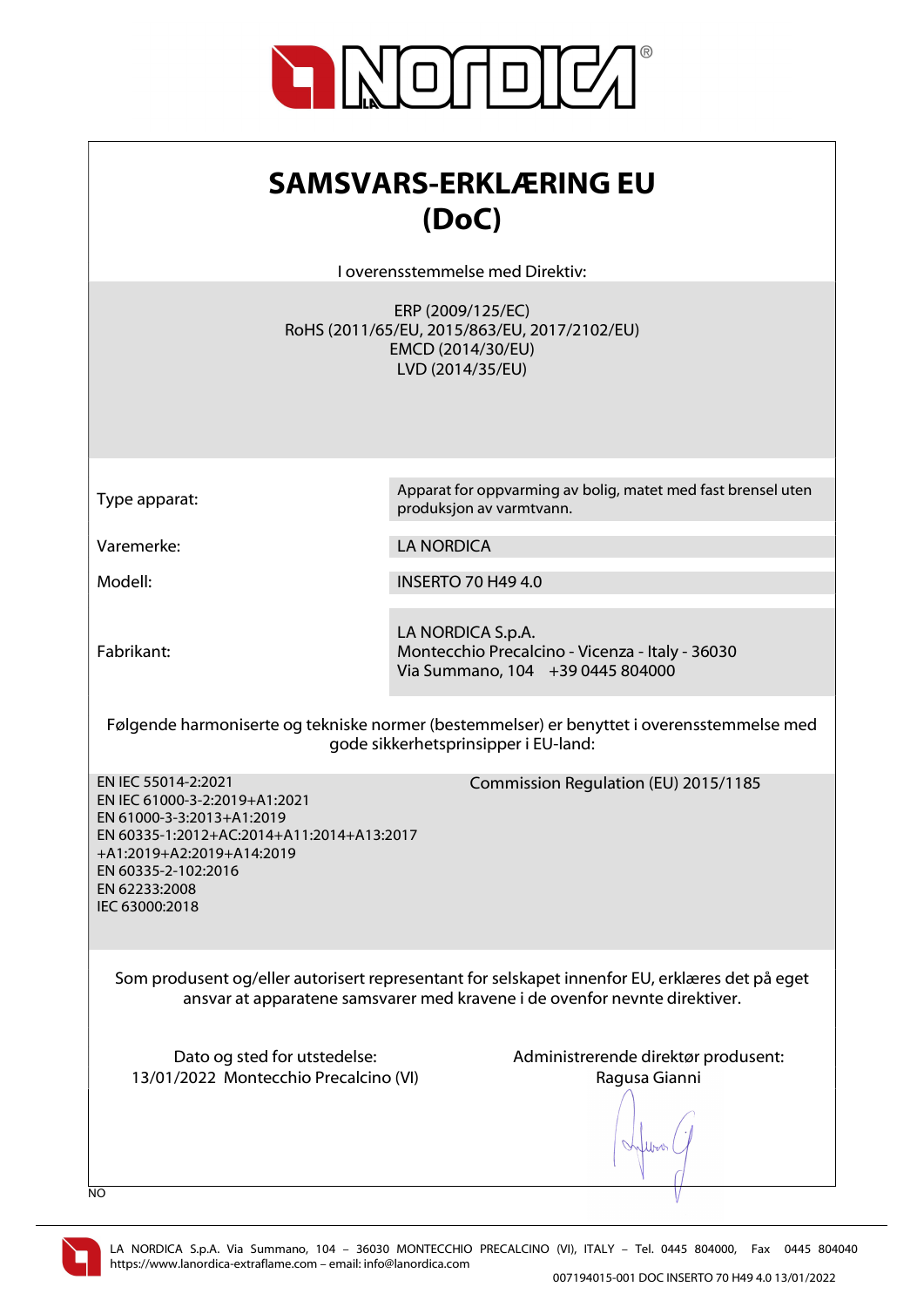

| <b>SAMSVARS-ERKLÆRING EU</b><br>(DoC)<br>I overensstemmelse med Direktiv:                                                                                                                                             |                                                                                                            |
|-----------------------------------------------------------------------------------------------------------------------------------------------------------------------------------------------------------------------|------------------------------------------------------------------------------------------------------------|
|                                                                                                                                                                                                                       | ERP (2009/125/EC)<br>RoHS (2011/65/EU, 2015/863/EU, 2017/2102/EU)<br>EMCD (2014/30/EU)<br>LVD (2014/35/EU) |
| Type apparat:                                                                                                                                                                                                         | Apparat for oppvarming av bolig, matet med fast brensel uten<br>produksjon av varmtvann.                   |
| Varemerke:                                                                                                                                                                                                            | <b>LA NORDICA</b>                                                                                          |
| Modell:                                                                                                                                                                                                               | <b>INSERTO 70 H49 4.0</b>                                                                                  |
| Fabrikant:                                                                                                                                                                                                            | LA NORDICA S.p.A.<br>Montecchio Precalcino - Vicenza - Italy - 36030<br>Via Summano, 104 +39 0445 804000   |
| Følgende harmoniserte og tekniske normer (bestemmelser) er benyttet i overensstemmelse med<br>gode sikkerhetsprinsipper i EU-land:                                                                                    |                                                                                                            |
| EN IEC 55014-2:2021<br>EN IEC 61000-3-2:2019+A1:2021<br>EN 61000-3-3:2013+A1:2019<br>EN 60335-1:2012+AC:2014+A11:2014+A13:2017<br>+A1:2019+A2:2019+A14:2019<br>EN 60335-2-102:2016<br>EN 62233:2008<br>IEC 63000:2018 | Commission Regulation (EU) 2015/1185                                                                       |
| Som produsent og/eller autorisert representant for selskapet innenfor EU, erklæres det på eget<br>ansvar at apparatene samsvarer med kravene i de ovenfor nevnte direktiver.                                          |                                                                                                            |
| Dato og sted for utstedelse:<br>13/01/2022 Montecchio Precalcino (VI)<br>NO                                                                                                                                           | Administrerende direktør produsent:<br>Ragusa Gianni                                                       |

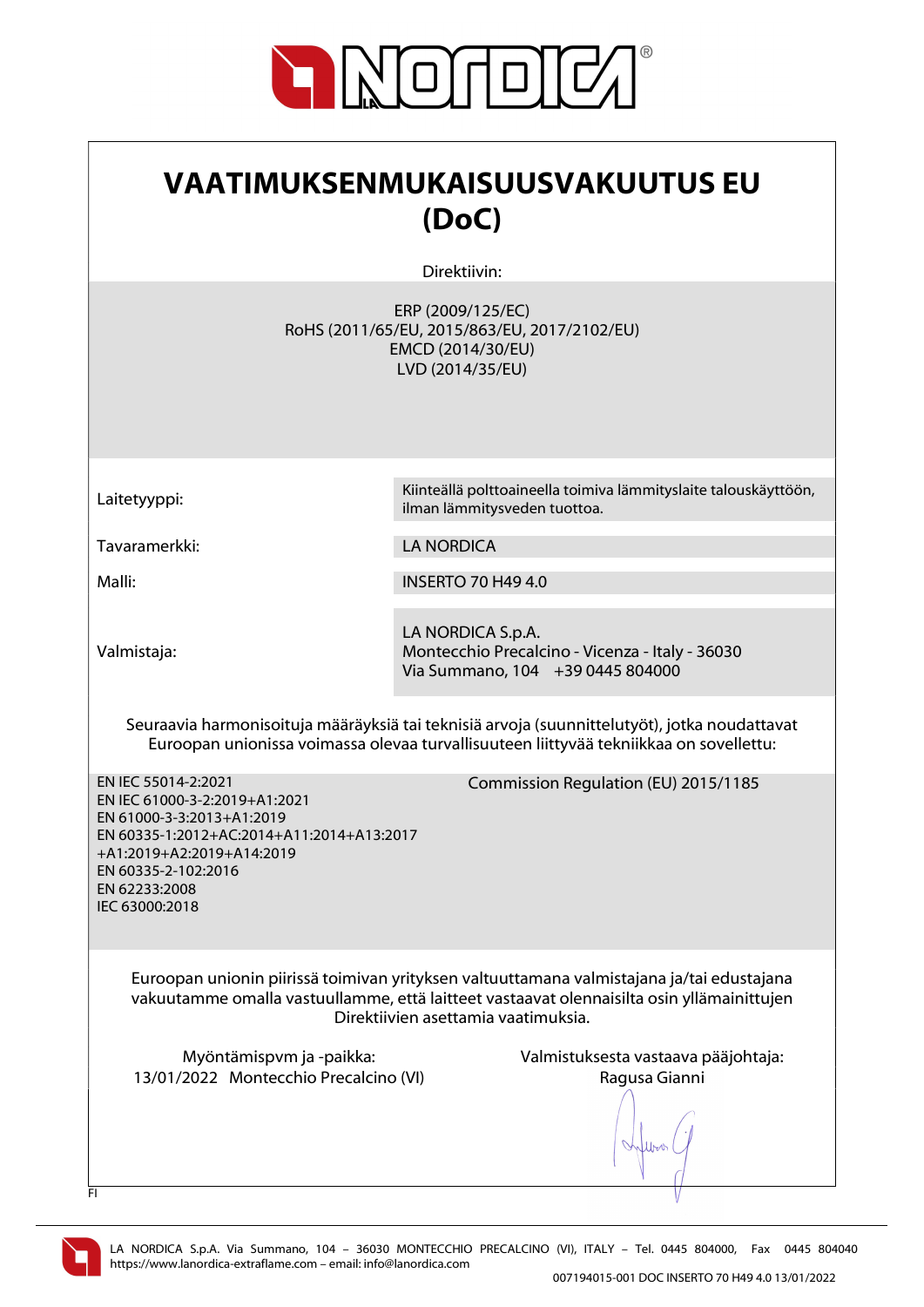

| VAATIMUKSENMUKAISUUSVAKUUTUS EU<br>(DoC)                                                                                                                                                                                                                      |                                                                                                            |
|---------------------------------------------------------------------------------------------------------------------------------------------------------------------------------------------------------------------------------------------------------------|------------------------------------------------------------------------------------------------------------|
|                                                                                                                                                                                                                                                               | Direktiivin:                                                                                               |
|                                                                                                                                                                                                                                                               | ERP (2009/125/EC)<br>RoHS (2011/65/EU, 2015/863/EU, 2017/2102/EU)<br>EMCD (2014/30/EU)<br>LVD (2014/35/EU) |
| Laitetyyppi:                                                                                                                                                                                                                                                  | Kiinteällä polttoaineella toimiva lämmityslaite talouskäyttöön,<br>ilman lämmitysveden tuottoa.            |
| Tavaramerkki:                                                                                                                                                                                                                                                 | <b>LA NORDICA</b>                                                                                          |
| Malli:                                                                                                                                                                                                                                                        | <b>INSERTO 70 H49 4.0</b>                                                                                  |
| Valmistaja:                                                                                                                                                                                                                                                   | LA NORDICA S.p.A.<br>Montecchio Precalcino - Vicenza - Italy - 36030<br>Via Summano, 104 +39 0445 804000   |
| Seuraavia harmonisoituja määräyksiä tai teknisiä arvoja (suunnittelutyöt), jotka noudattavat<br>Euroopan unionissa voimassa olevaa turvallisuuteen liittyvää tekniikkaa on sovellettu:                                                                        |                                                                                                            |
| EN IEC 55014-2:2021<br>Commission Regulation (EU) 2015/1185<br>EN IEC 61000-3-2:2019+A1:2021<br>EN 61000-3-3:2013+A1:2019<br>EN 60335-1:2012+AC:2014+A11:2014+A13:2017<br>+A1:2019+A2:2019+A14:2019<br>EN 60335-2-102:2016<br>EN 62233:2008<br>IEC 63000:2018 |                                                                                                            |
| Euroopan unionin piirissä toimivan yrityksen valtuuttamana valmistajana ja/tai edustajana<br>vakuutamme omalla vastuullamme, että laitteet vastaavat olennaisilta osin yllämainittujen<br>Direktiivien asettamia vaatimuksia.                                 |                                                                                                            |
| Myöntämispvm ja -paikka:<br>13/01/2022 Montecchio Precalcino (VI)<br>FI                                                                                                                                                                                       | Valmistuksesta vastaava pääjohtaja:<br>Ragusa Gianni                                                       |

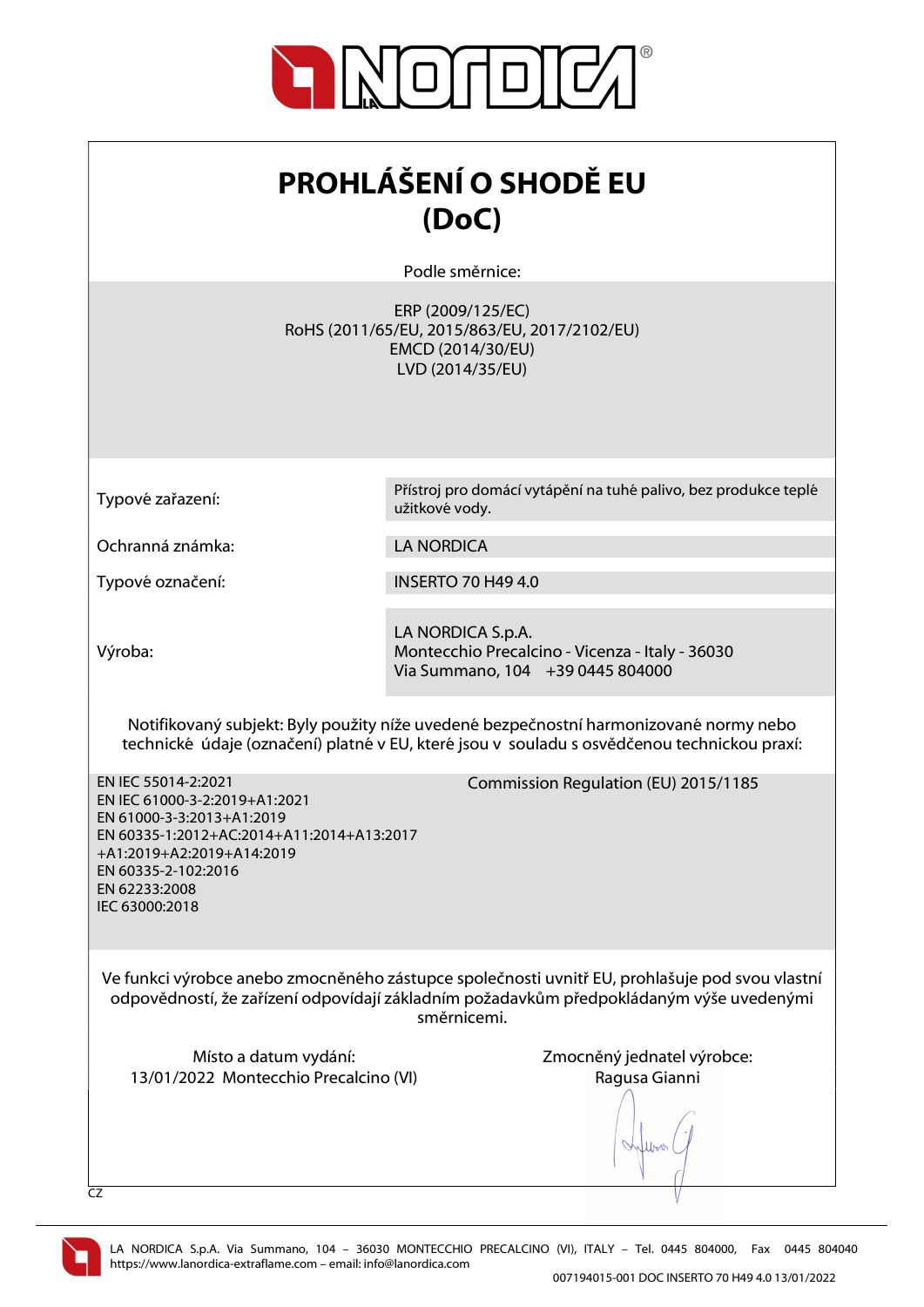

| <b>PROHLÁŠENÍ O SHODĚ EU</b><br>(DoC)                                                                                                                                                                                 |                                                                                                            |  |
|-----------------------------------------------------------------------------------------------------------------------------------------------------------------------------------------------------------------------|------------------------------------------------------------------------------------------------------------|--|
|                                                                                                                                                                                                                       | Podle směrnice:                                                                                            |  |
|                                                                                                                                                                                                                       | ERP (2009/125/EC)<br>RoHS (2011/65/EU, 2015/863/EU, 2017/2102/EU)<br>EMCD (2014/30/EU)<br>LVD (2014/35/EU) |  |
|                                                                                                                                                                                                                       | Přístroj pro domácí vytápění na tuhé palivo, bez produkce teplé                                            |  |
| Typové zařazení:                                                                                                                                                                                                      | užitkové vody.                                                                                             |  |
| Ochranná známka:                                                                                                                                                                                                      | <b>LA NORDICA</b>                                                                                          |  |
| Typové označení:                                                                                                                                                                                                      | <b>INSERTO 70 H49 4.0</b>                                                                                  |  |
| Výroba:                                                                                                                                                                                                               | LA NORDICA S.p.A.<br>Montecchio Precalcino - Vicenza - Italy - 36030<br>Via Summano, 104 +39 0445 804000   |  |
| Notifikovaný subjekt: Byly použity níže uvedené bezpečnostní harmonizované normy nebo<br>technické údaje (označení) platné v EU, které jsou v souladu s osvědčenou technickou praxí:                                  |                                                                                                            |  |
| EN IEC 55014-2:2021<br>EN IEC 61000-3-2:2019+A1:2021<br>EN 61000-3-3:2013+A1:2019<br>EN 60335-1:2012+AC:2014+A11:2014+A13:2017<br>+A1:2019+A2:2019+A14:2019<br>EN 60335-2-102:2016<br>EN 62233:2008<br>IEC 63000:2018 | Commission Regulation (EU) 2015/1185                                                                       |  |
| Ve funkci výrobce anebo zmocněného zástupce společnosti uvnitř EU, prohlašuje pod svou vlastní<br>odpovědností, že zařízení odpovídají základním požadavkům předpokládaným výše uvedenými<br>směrnicemi.              |                                                                                                            |  |
| Místo a datum vydání:<br>13/01/2022 Montecchio Precalcino (VI)<br>CZ                                                                                                                                                  | Zmocněný jednatel výrobce:<br>Ragusa Gianni                                                                |  |

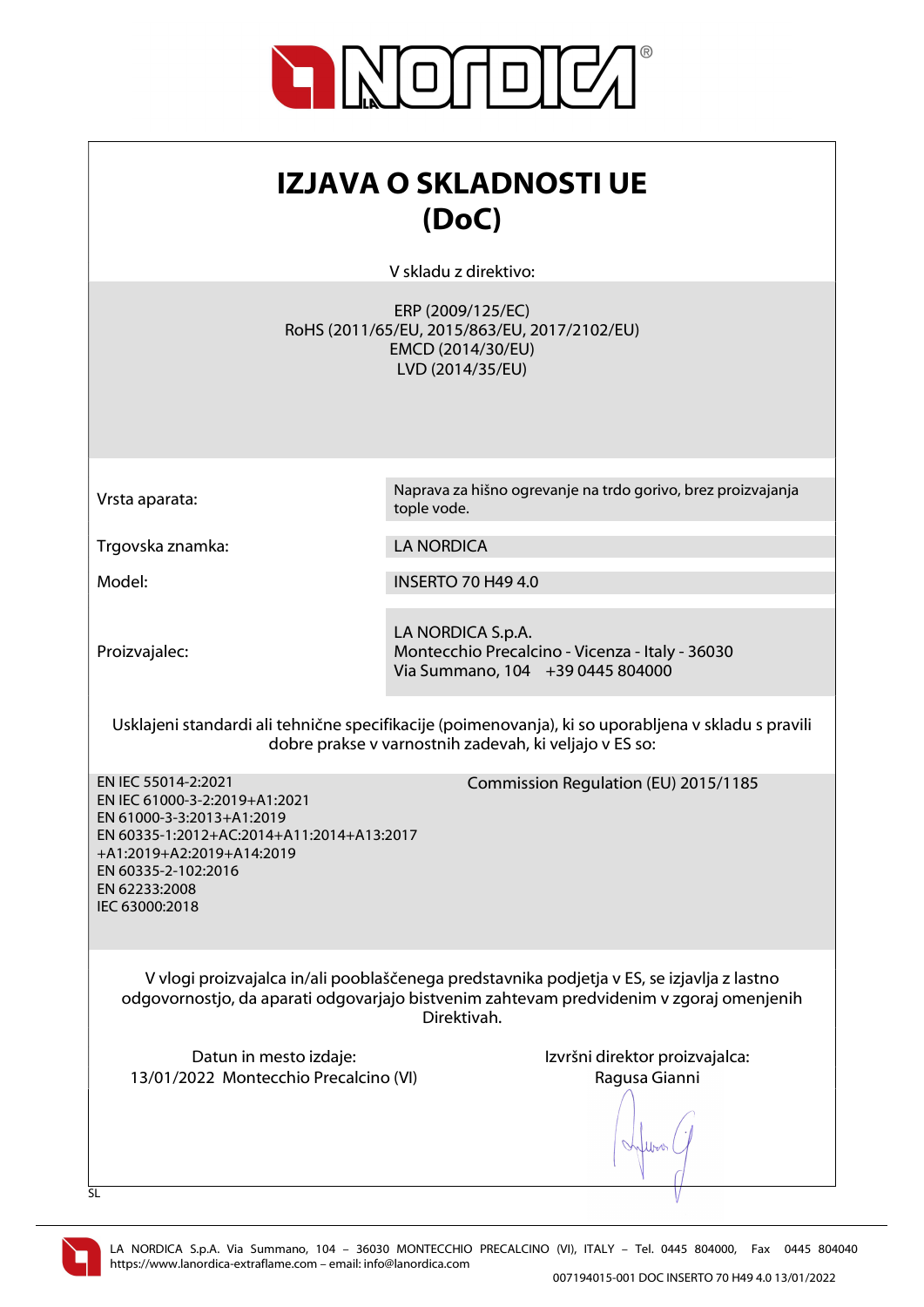

| IZJAVA O SKLADNOSTI UE<br>(DoC)                                                                                                                                                                                       |                                                                                                                                                               |
|-----------------------------------------------------------------------------------------------------------------------------------------------------------------------------------------------------------------------|---------------------------------------------------------------------------------------------------------------------------------------------------------------|
|                                                                                                                                                                                                                       | V skladu z direktivo:                                                                                                                                         |
|                                                                                                                                                                                                                       | ERP (2009/125/EC)<br>RoHS (2011/65/EU, 2015/863/EU, 2017/2102/EU)<br>EMCD (2014/30/EU)<br>LVD (2014/35/EU)                                                    |
| Vrsta aparata:                                                                                                                                                                                                        | Naprava za hišno ogrevanje na trdo gorivo, brez proizvajanja<br>tople vode.                                                                                   |
| Trgovska znamka:                                                                                                                                                                                                      | <b>LA NORDICA</b>                                                                                                                                             |
| Model:                                                                                                                                                                                                                | <b>INSERTO 70 H49 4.0</b>                                                                                                                                     |
| Proizvajalec:                                                                                                                                                                                                         | LA NORDICA S.p.A.<br>Montecchio Precalcino - Vicenza - Italy - 36030<br>Via Summano, 104 +39 0445 804000                                                      |
|                                                                                                                                                                                                                       | Usklajeni standardi ali tehnične specifikacije (poimenovanja), ki so uporabljena v skladu s pravili<br>dobre prakse v varnostnih zadevah, ki veljajo v ES so: |
| EN IEC 55014-2:2021<br>EN IEC 61000-3-2:2019+A1:2021<br>EN 61000-3-3:2013+A1:2019<br>EN 60335-1:2012+AC:2014+A11:2014+A13:2017<br>+A1:2019+A2:2019+A14:2019<br>EN 60335-2-102:2016<br>EN 62233:2008<br>IEC 63000:2018 | Commission Regulation (EU) 2015/1185                                                                                                                          |
| V vlogi proizvajalca in/ali pooblaščenega predstavnika podjetja v ES, se izjavlja z lastno<br>odgovornostjo, da aparati odgovarjajo bistvenim zahtevam predvidenim v zgoraj omenjenih<br>Direktivah.                  |                                                                                                                                                               |
| Datun in mesto izdaje:<br>13/01/2022 Montecchio Precalcino (VI)<br>SL                                                                                                                                                 | Izvršni direktor proizvajalca:<br>Ragusa Gianni                                                                                                               |

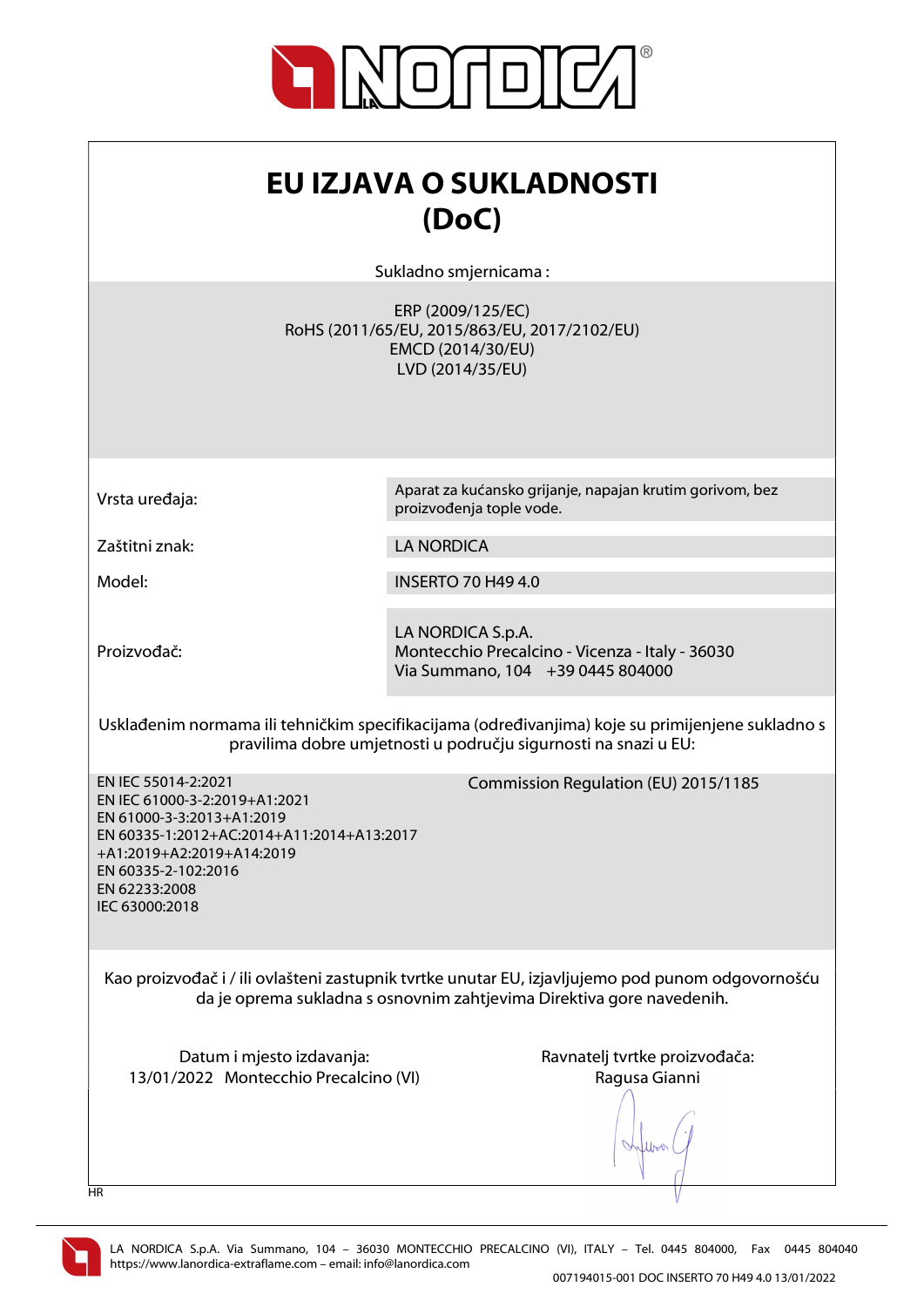

| EU IZJAVA O SUKLADNOSTI<br>(DoC)<br>Sukladno smjernicama:                                                                                                                                                             |                                                                                                            |
|-----------------------------------------------------------------------------------------------------------------------------------------------------------------------------------------------------------------------|------------------------------------------------------------------------------------------------------------|
|                                                                                                                                                                                                                       | ERP (2009/125/EC)<br>RoHS (2011/65/EU, 2015/863/EU, 2017/2102/EU)<br>EMCD (2014/30/EU)<br>LVD (2014/35/EU) |
| Vrsta uređaja:                                                                                                                                                                                                        | Aparat za kućansko grijanje, napajan krutim gorivom, bez<br>proizvođenja tople vode.                       |
| Zaštitni znak:                                                                                                                                                                                                        | <b>LA NORDICA</b>                                                                                          |
| Model:                                                                                                                                                                                                                | <b>INSERTO 70 H49 4.0</b>                                                                                  |
| Proizvođač:                                                                                                                                                                                                           | LA NORDICA S.p.A.<br>Montecchio Precalcino - Vicenza - Italy - 36030<br>Via Summano, 104 +39 0445 804000   |
| Usklađenim normama ili tehničkim specifikacijama (određivanjima) koje su primijenjene sukladno s<br>pravilima dobre umjetnosti u području sigurnosti na snazi u EU:                                                   |                                                                                                            |
| EN IEC 55014-2:2021<br>EN IEC 61000-3-2:2019+A1:2021<br>EN 61000-3-3:2013+A1:2019<br>EN 60335-1:2012+AC:2014+A11:2014+A13:2017<br>+A1:2019+A2:2019+A14:2019<br>EN 60335-2-102:2016<br>EN 62233:2008<br>IEC 63000:2018 | Commission Regulation (EU) 2015/1185                                                                       |
| Kao proizvođač i / ili ovlašteni zastupnik tvrtke unutar EU, izjavljujemo pod punom odgovornošću<br>da je oprema sukladna s osnovnim zahtjevima Direktiva gore navedenih.                                             |                                                                                                            |
| Datum i mjesto izdavanja:<br>13/01/2022 Montecchio Precalcino (VI)<br>HR                                                                                                                                              | Ravnatelj tvrtke proizvođača:<br>Ragusa Gianni                                                             |

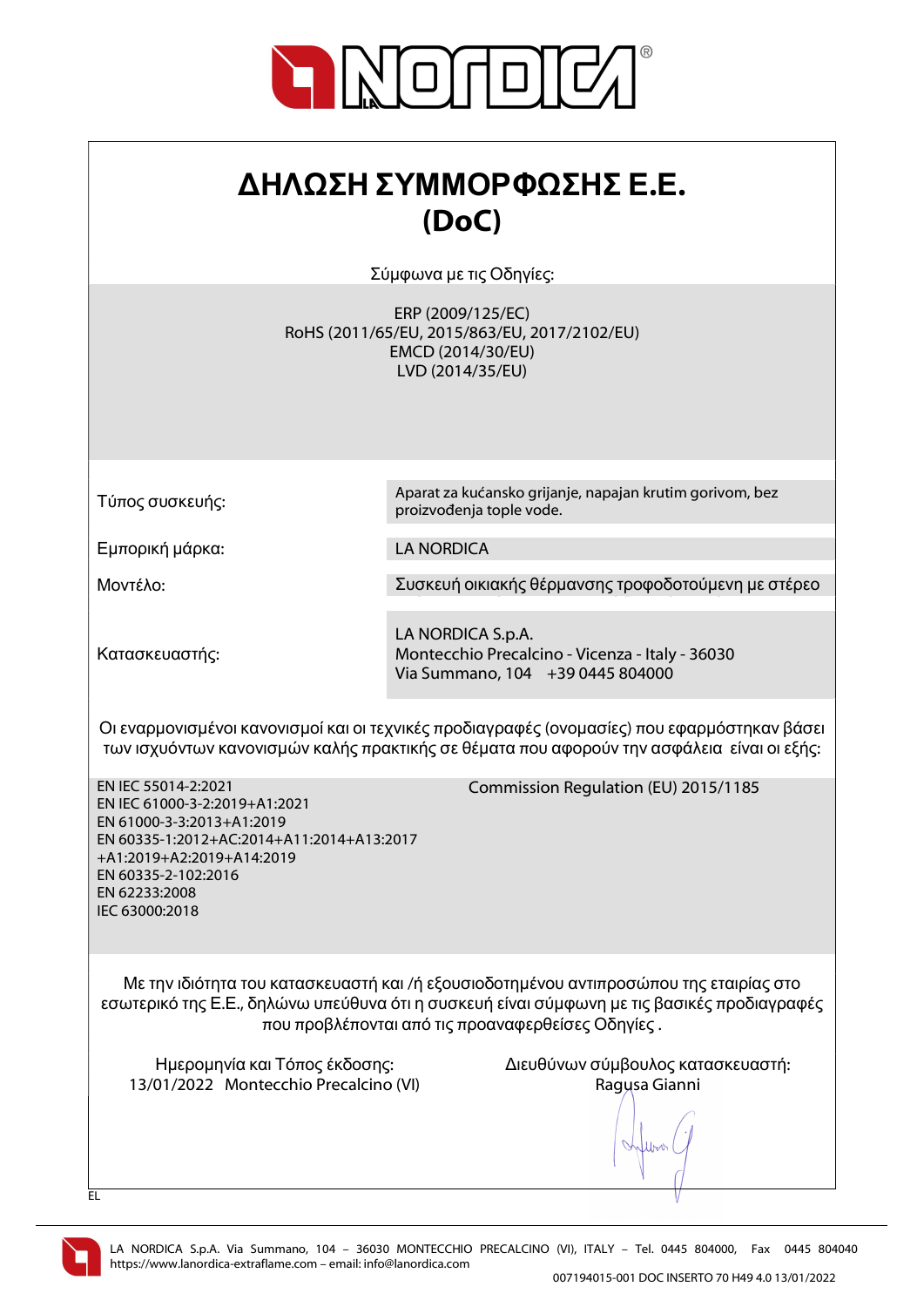

| ΔΗΛΩΣΗ ΣΥΜΜΟΡΦΩΣΗΣ Ε.Ε. |
|-------------------------|
| (DoC)                   |

Σύμφωνα με τις Οδηγίες:

ERP (2009/125/EC) RoHS (2011/65/EU, 2015/863/EU, 2017/2102/EU) EMCD (2014/30/EU) LVD (2014/35/EU)

proizvođenja tople vode.

Τύπος συσκευής:

Εμπορική μάρκα: LA NORDICA

Μοντέλο: Συσκευή οικιακής θέρμανσης τροφοδοτούμενη με στέρεο

Aparat za kućansko grijanje, napajan krutim gorivom, bez

Κατασκευαστής:

LA NORDICA S.p.A. Montecchio Precalcino - Vicenza - Italy - 36030 Via Summano, 104 +39 0445 804000

Οι εναρμονισμένοι κανονισμοί και οι τεχνικές προδιαγραφές (ονομασίες) που εφαρμόστηκαν βάσει των ισχυόντων κανονισμών καλής πρακτικής σε θέματα που αφορούν την ασφάλεια είναι οι εξής:

EN IEC 55014-2:2021 EN IEC 61000-3-2:2019+A1:2021 EN 61000-3-3:2013+A1:2019 EN 60335-1:2012+AC:2014+A11:2014+A13:2017 +A1:2019+A2:2019+A14:2019 EN 60335-2-102:2016 EN 62233:2008 IEC 63000:2018

Commission Regulation (EU) 2015/1185

Με την ιδιότητα του κατασκευαστή και /ή εξουσιοδοτημένου αντιπροσώπου της εταιρίας στο εσωτερικό της Ε.Ε., δηλώνω υπεύθυνα ότι η συσκευή είναι σύμφωνη με τις βασικές προδιαγραφές που προβλέπονται από τις προαναφερθείσες Οδηγίες .

13/01/2022 Montecchio Precalcino (VI) Ragusa Gianni

Ημερομηνία και Τόπος έκδοσης: Διευθύνων σύμβουλος κατασκευαστή:

lloo



EL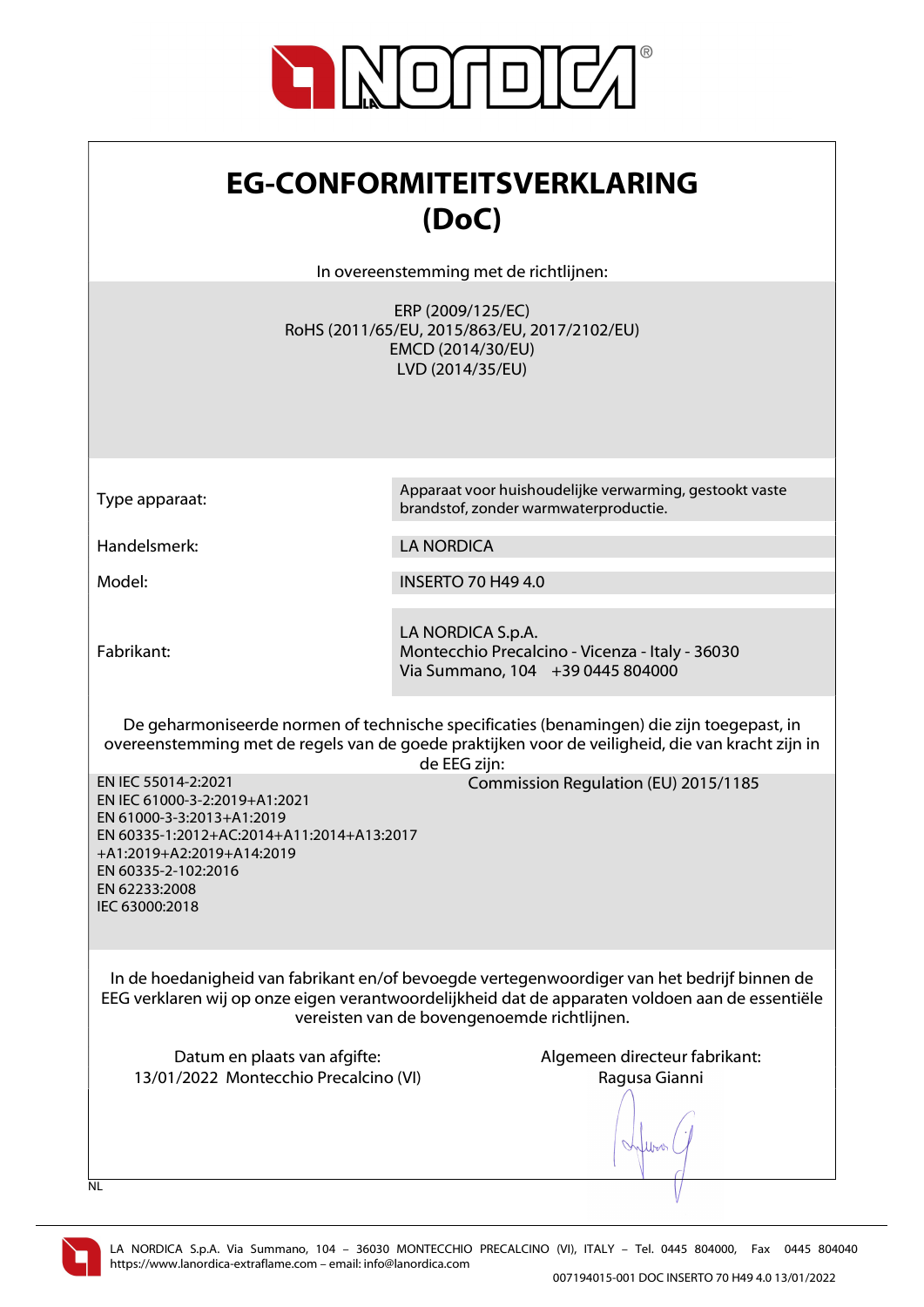

| <b>EG-CONFORMITEITSVERKLARING</b><br>(DoC)                                                                                                                                                                                                                    |                                                                                                            |
|---------------------------------------------------------------------------------------------------------------------------------------------------------------------------------------------------------------------------------------------------------------|------------------------------------------------------------------------------------------------------------|
|                                                                                                                                                                                                                                                               | In overeenstemming met de richtlijnen:                                                                     |
|                                                                                                                                                                                                                                                               | ERP (2009/125/EC)<br>RoHS (2011/65/EU, 2015/863/EU, 2017/2102/EU)<br>EMCD (2014/30/EU)<br>LVD (2014/35/EU) |
| Type apparaat:                                                                                                                                                                                                                                                | Apparaat voor huishoudelijke verwarming, gestookt vaste<br>brandstof, zonder warmwaterproductie.           |
| Handelsmerk:                                                                                                                                                                                                                                                  | <b>LA NORDICA</b>                                                                                          |
| Model:                                                                                                                                                                                                                                                        | <b>INSERTO 70 H49 4.0</b>                                                                                  |
| Fabrikant:                                                                                                                                                                                                                                                    | LA NORDICA S.p.A.<br>Montecchio Precalcino - Vicenza - Italy - 36030<br>Via Summano, 104 +39 0445 804000   |
| De geharmoniseerde normen of technische specificaties (benamingen) die zijn toegepast, in<br>overeenstemming met de regels van de goede praktijken voor de veiligheid, die van kracht zijn in<br>de EEG zijn:                                                 |                                                                                                            |
| EN IEC 55014-2:2021<br>Commission Regulation (EU) 2015/1185<br>EN IEC 61000-3-2:2019+A1:2021<br>EN 61000-3-3:2013+A1:2019<br>EN 60335-1:2012+AC:2014+A11:2014+A13:2017<br>+A1:2019+A2:2019+A14:2019<br>EN 60335-2-102:2016<br>EN 62233:2008<br>IEC 63000:2018 |                                                                                                            |
| In de hoedanigheid van fabrikant en/of bevoegde vertegenwoordiger van het bedrijf binnen de<br>EEG verklaren wij op onze eigen verantwoordelijkheid dat de apparaten voldoen aan de essentiële<br>vereisten van de bovengenoemde richtlijnen.                 |                                                                                                            |
| Datum en plaats van afgifte:<br>13/01/2022 Montecchio Precalcino (VI)<br><b>NL</b>                                                                                                                                                                            | Algemeen directeur fabrikant:<br>Ragusa Gianni                                                             |

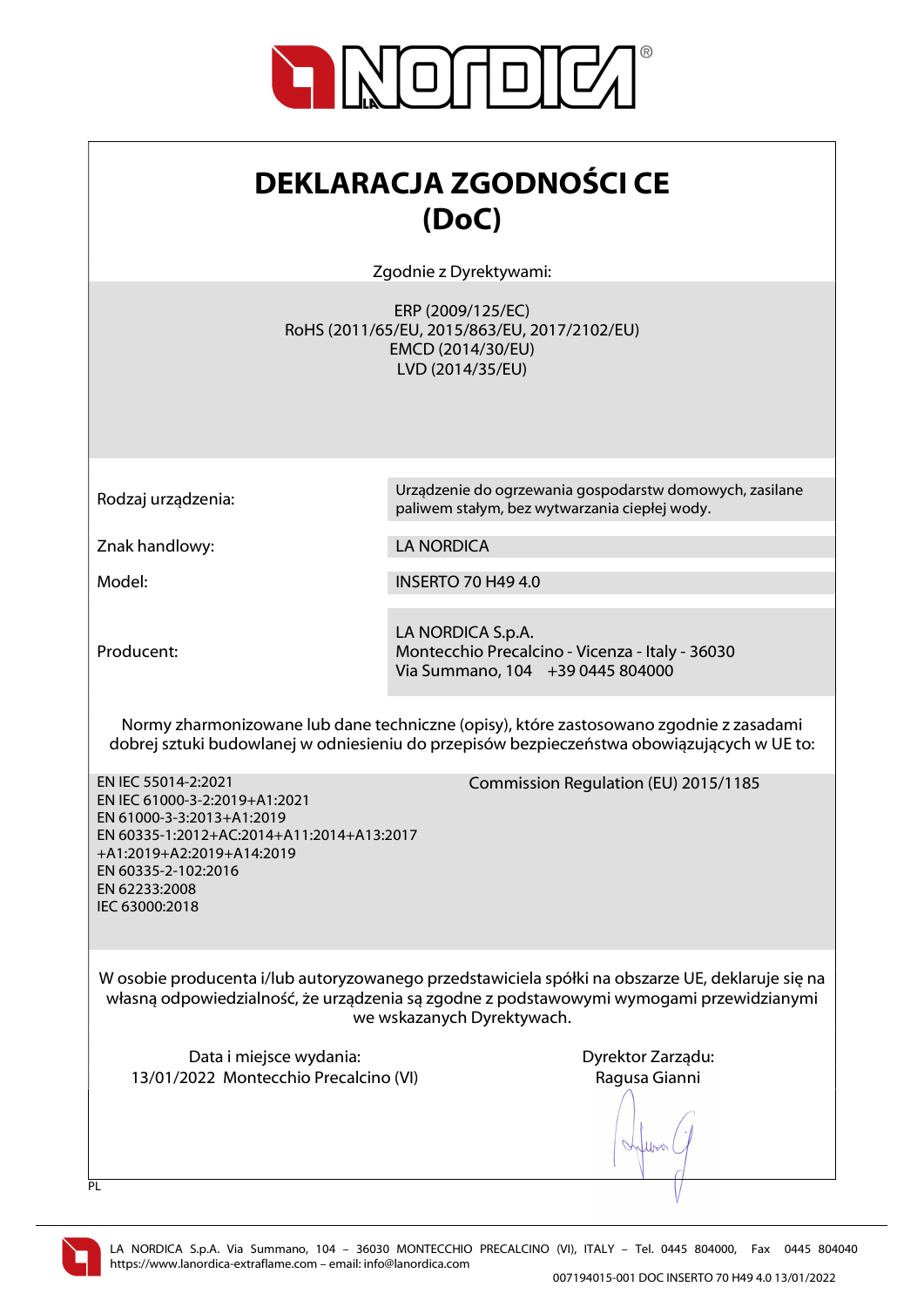

| <b>DEKLARACJA ZGODNOŚCI CE</b> |
|--------------------------------|
| (DoC)                          |

Zgodnie z Dyrektywami:

ERP (2009/125/EC) RoHS (2011/65/EU, 2015/863/EU, 2017/2102/EU) EMCD (2014/30/EU) LVD (2014/35/EU)

Rodzaj urządzenia: Urządzenie do ogrzewania gospodarstw domowych, zasilane

Znak handlowy: LA NORDICA

Model: INSERTO 70 H49 4.0

Producent:

LA NORDICA S.p.A. Montecchio Precalcino - Vicenza - Italy - 36030 Via Summano, 104 +39 0445 804000

paliwem stałym, bez wytwarzania ciepłej wody.

Normy zharmonizowane lub dane techniczne (opisy), które zastosowano zgodnie z zasadami dobrej sztuki budowlanej w odniesieniu do przepisów bezpieczeństwa obowiązujących w UE to:

EN IEC 55014-2:2021 EN IEC 61000-3-2:2019+A1:2021 EN 61000-3-3:2013+A1:2019 EN 60335-1:2012+AC:2014+A11:2014+A13:2017 +A1:2019+A2:2019+A14:2019 EN 60335-2-102:2016 EN 62233:2008 IEC 63000:2018

Commission Regulation (EU) 2015/1185

W osobie producenta i/lub autoryzowanego przedstawiciela spółki na obszarze UE, deklaruje się na własną odpowiedzialność, że urządzenia są zgodne z podstawowymi wymogami przewidzianymi we wskazanych Dyrektywach.

Data i miejsce wydania: Data i miejsce wydania: Dyrektor Zarządu: 13/01/2022 Montecchio Precalcino (VI) Ragusa Gianni

Juros

 $\overline{PI}$